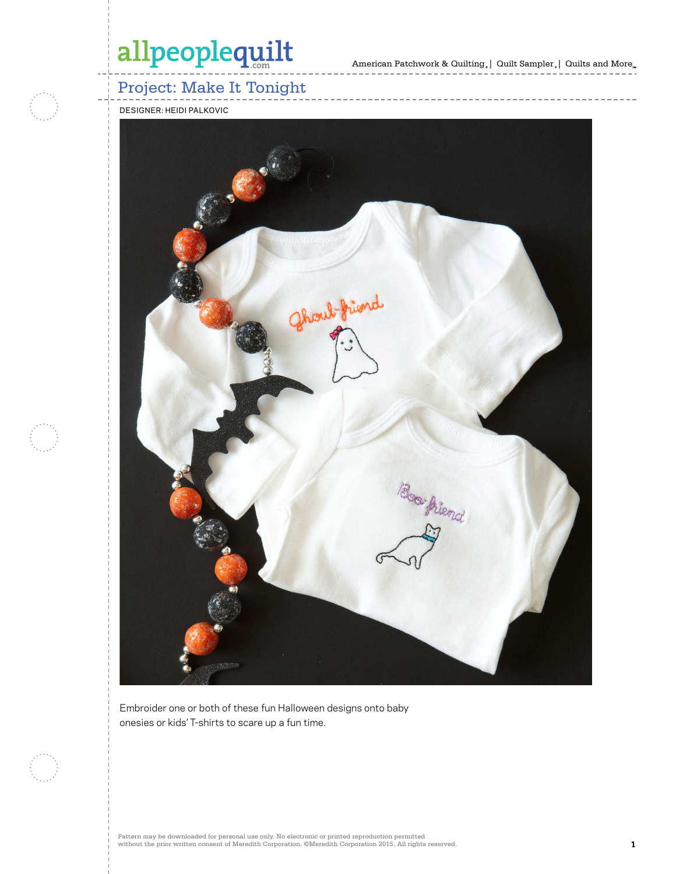American Patchwork & Quilting,  $|$  Quilt Sampler,  $|$  Quilts and More $_{\textrm{\tiny{m}}}$ 



### Project: Make It Tonight

DESIGNER: HEIDI PALKOVIC



Embroider one or both of these fun Halloween designs onto baby onesies or kids' T-shirts to scare up a fun time.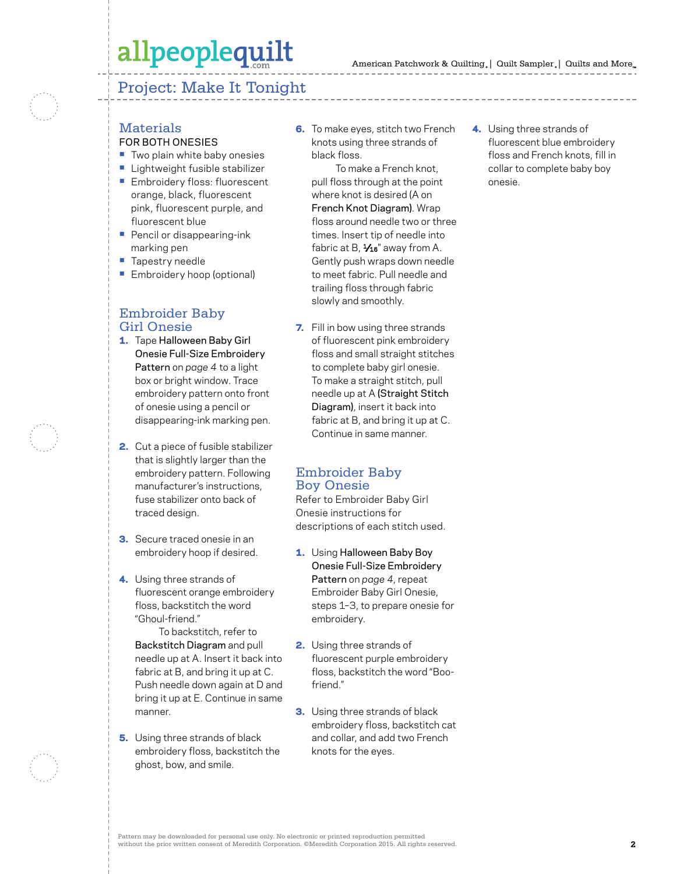#### Project: Make It Tonight



### **Materials**

- FOR BOTH ONESIES
- **•** Two plain white baby onesies
- **•** Lightweight fusible stabilizer
- **•** Embroidery floss: fluorescent orange, black, fluorescent pink, fluorescent purple, and fluorescent blue
- **•** Pencil or disappearing-ink marking pen
- **•** Tapestry needle
- **•** Embroidery hoop (optional)

#### Embroider Baby Girl Onesie

- 1. Tape Halloween Baby Girl Onesie Full-Size Embroidery Pattern on *page 4* to a light box or bright window. Trace embroidery pattern onto front of onesie using a pencil or disappearing-ink marking pen.
- 2. Cut a piece of fusible stabilizer that is slightly larger than the embroidery pattern. Following manufacturer's instructions, fuse stabilizer onto back of traced design.
- **3.** Secure traced onesie in an embroidery hoop if desired.
- 4. Using three strands of fluorescent orange embroidery floss, backstitch the word "Ghoul-friend."

 To backstitch, refer to Backstitch Diagram and pull needle up at A. Insert it back into fabric at B, and bring it up at C. Push needle down again at D and bring it up at E. Continue in same manner.

**5.** Using three strands of black embroidery floss, backstitch the ghost, bow, and smile.

**6.** To make eyes, stitch two French knots using three strands of black floss.

 To make a French knot, pull floss through at the point where knot is desired (A on French Knot Diagram). Wrap floss around needle two or three times. Insert tip of needle into fabric at B,  $\frac{1}{16}$ " away from A. Gently push wraps down needle to meet fabric. Pull needle and trailing floss through fabric slowly and smoothly.

**7.** Fill in bow using three strands of fluorescent pink embroidery floss and small straight stitches to complete baby girl onesie. To make a straight stitch, pull needle up at A (Straight Stitch Diagram), insert it back into fabric at B, and bring it up at C. Continue in same manner.

#### Embroider Baby Boy Onesie

Refer to Embroider Baby Girl Onesie instructions for descriptions of each stitch used.

- 1. Using Halloween Baby Boy Onesie Full-Size Embroidery Pattern on *page 4*, repeat Embroider Baby Girl Onesie, steps 1–3, to prepare onesie for embroidery.
- 2. Using three strands of fluorescent purple embroidery floss, backstitch the word "Boofriend."
- **3.** Using three strands of black embroidery floss, backstitch cat and collar, and add two French knots for the eyes.

4. Using three strands of fluorescent blue embroidery floss and French knots, fill in collar to complete baby boy onesie.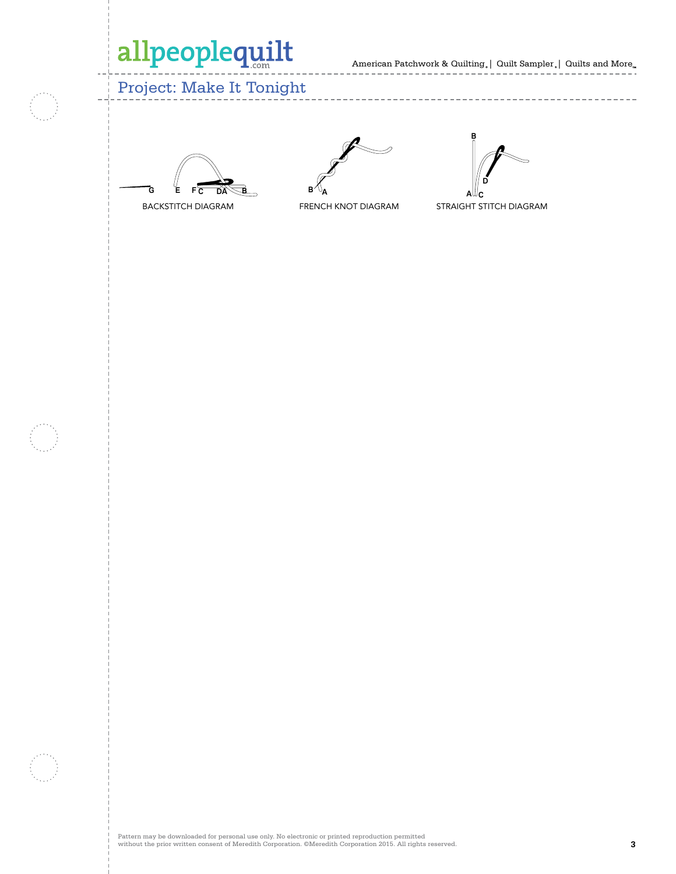American Patchwork & Quilting | Quilt Sampler | Quilts and More **100534933**

-------------------

 $-$ 

 $- - - - -$ 

### Project: Make It Tonight





--------------





STRAIGHT STITCH DIAGRAM